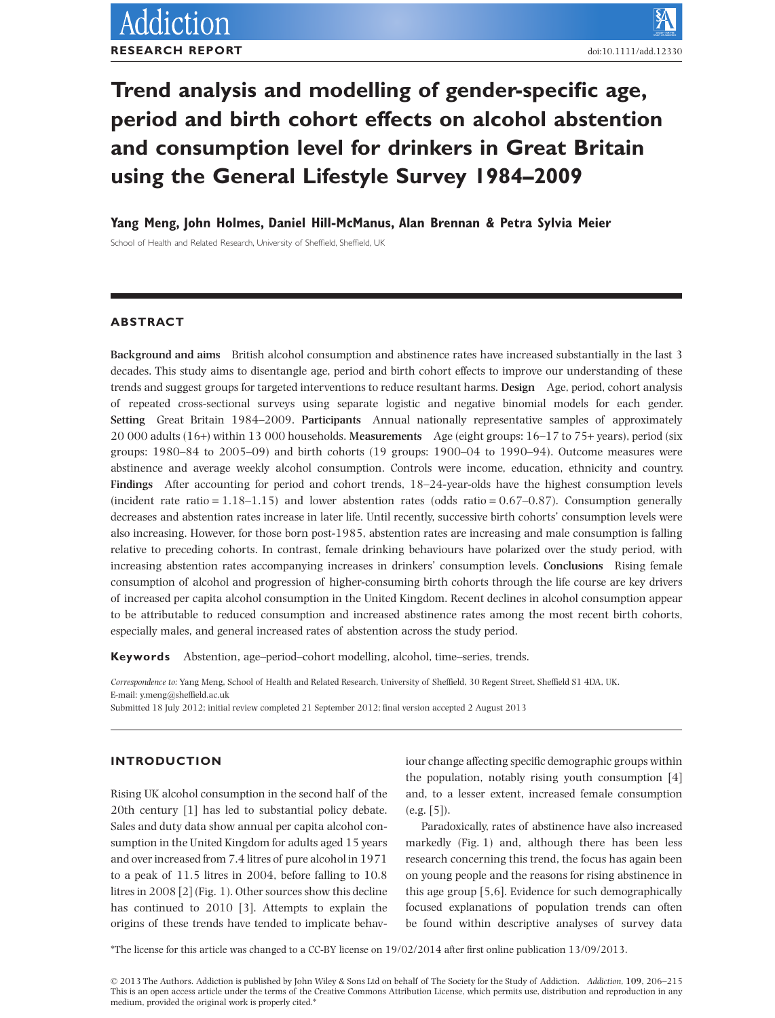# **Trend analysis and modelling of gender-specific age, period and birth cohort effects on alcohol abstention and consumption level for drinkers in Great Britain using the General Lifestyle Survey 1984–2009**

**Yang Meng, John Holmes, Daniel Hill-McManus, Alan Brennan & Petra Sylvia Meier**

School of Health and Related Research, University of Sheffield, Sheffield, UK

# **ABSTRACT**

**Background and aims** British alcohol consumption and abstinence rates have increased substantially in the last 3 decades. This study aims to disentangle age, period and birth cohort effects to improve our understanding of these trends and suggest groups for targeted interventions to reduce resultant harms. **Design** Age, period, cohort analysis of repeated cross-sectional surveys using separate logistic and negative binomial models for each gender. **Setting** Great Britain 1984–2009. **Participants** Annual nationally representative samples of approximately 20 000 adults (16+) within 13 000 households. **Measurements** Age (eight groups: 16–17 to 75+ years), period (six groups: 1980–84 to 2005–09) and birth cohorts (19 groups: 1900–04 to 1990–94). Outcome measures were abstinence and average weekly alcohol consumption. Controls were income, education, ethnicity and country. **Findings** After accounting for period and cohort trends, 18–24-year-olds have the highest consumption levels (incident rate ratio =  $1.18-1.15$ ) and lower abstention rates (odds ratio =  $0.67-0.87$ ). Consumption generally decreases and abstention rates increase in later life. Until recently, successive birth cohorts' consumption levels were also increasing. However, for those born post-1985, abstention rates are increasing and male consumption is falling relative to preceding cohorts. In contrast, female drinking behaviours have polarized over the study period, with increasing abstention rates accompanying increases in drinkers' consumption levels. **Conclusions** Rising female consumption of alcohol and progression of higher-consuming birth cohorts through the life course are key drivers of increased per capita alcohol consumption in the United Kingdom. Recent declines in alcohol consumption appear to be attributable to reduced consumption and increased abstinence rates among the most recent birth cohorts, especially males, and general increased rates of abstention across the study period.

**Keywords** Abstention, age–period–cohort modelling, alcohol, time–series, trends.

*Correspondence to:* Yang Meng, School of Health and Related Research, University of Sheffield, 30 Regent Street, Sheffield S1 4DA, UK. E-mail: [y.meng@sheffield.ac.uk](mailto:y.meng@sheffield.ac.uk)

Submitted 18 July 2012; initial review completed 21 September 2012; final version accepted 2 August 2013

# **INTRODUCTION**

Rising UK alcohol consumption in the second half of the 20th century [1] has led to substantial policy debate. Sales and duty data show annual per capita alcohol consumption in the United Kingdom for adults aged 15 years and over increased from 7.4 litres of pure alcohol in 1971 to a peak of 11.5 litres in 2004, before falling to 10.8 litres in 2008 [2] (Fig. 1). Other sources show this decline has continued to 2010 [3]. Attempts to explain the origins of these trends have tended to implicate behaviour change affecting specific demographic groups within the population, notably rising youth consumption [4] and, to a lesser extent, increased female consumption (e.g. [5]).

Paradoxically, rates of abstinence have also increased markedly (Fig. 1) and, although there has been less research concerning this trend, the focus has again been on young people and the reasons for rising abstinence in this age group [5,6]. Evidence for such demographically focused explanations of population trends can often be found within descriptive analyses of survey data

\*The license for this article was changed to a CC-BY license on 19/02/2014 after first online publication 13/09/2013.

© 2013 The Authors. Addiction is published by John Wiley & Sons Ltd on behalf of The Society for the Study of Addiction. *Addiction*, **109**, 206–215 This is an open access article under the terms of the [Creative Commons Attribution](http://creativecommons.org/licenses/by/3.0) License, which permits use, distribution and reproduction in any medium, provided the original work is properly cited.\*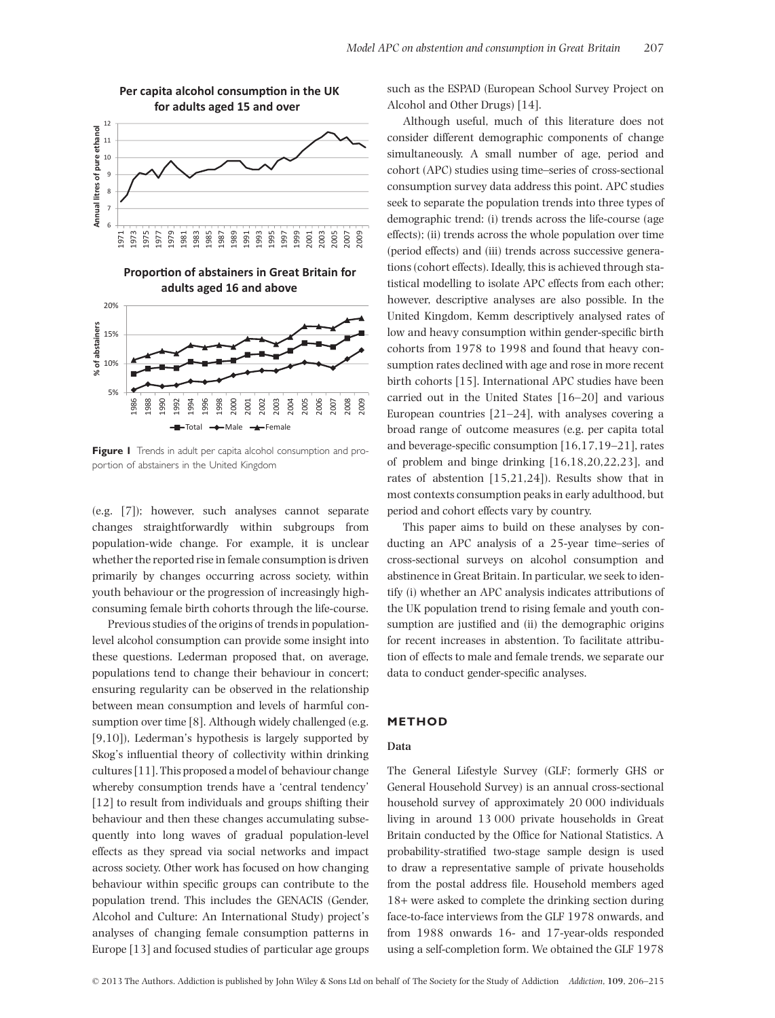

**Per capita alcohol consumption in the UK for adults aged 15 and over**

**Proportion of abstainers in Great Britain for adults aged 16 and above**



**Figure 1** Trends in adult per capita alcohol consumption and proportion of abstainers in the United Kingdom

(e.g. [7]); however, such analyses cannot separate changes straightforwardly within subgroups from population-wide change. For example, it is unclear whether the reported rise in female consumption is driven primarily by changes occurring across society, within youth behaviour or the progression of increasingly highconsuming female birth cohorts through the life-course.

Previous studies of the origins of trends in populationlevel alcohol consumption can provide some insight into these questions. Lederman proposed that, on average, populations tend to change their behaviour in concert; ensuring regularity can be observed in the relationship between mean consumption and levels of harmful consumption over time [8]. Although widely challenged (e.g. [9,10]), Lederman's hypothesis is largely supported by Skog's influential theory of collectivity within drinking cultures [11]. This proposed a model of behaviour change whereby consumption trends have a 'central tendency' [12] to result from individuals and groups shifting their behaviour and then these changes accumulating subsequently into long waves of gradual population-level effects as they spread via social networks and impact across society. Other work has focused on how changing behaviour within specific groups can contribute to the population trend. This includes the GENACIS (Gender, Alcohol and Culture: An International Study) project's analyses of changing female consumption patterns in Europe [13] and focused studies of particular age groups such as the ESPAD (European School Survey Project on Alcohol and Other Drugs) [14].

Although useful, much of this literature does not consider different demographic components of change simultaneously. A small number of age, period and cohort (APC) studies using time–series of cross-sectional consumption survey data address this point. APC studies seek to separate the population trends into three types of demographic trend: (i) trends across the life-course (age effects); (ii) trends across the whole population over time (period effects) and (iii) trends across successive generations (cohort effects). Ideally, this is achieved through statistical modelling to isolate APC effects from each other; however, descriptive analyses are also possible. In the United Kingdom, Kemm descriptively analysed rates of low and heavy consumption within gender-specific birth cohorts from 1978 to 1998 and found that heavy consumption rates declined with age and rose in more recent birth cohorts [15]. International APC studies have been carried out in the United States [16–20] and various European countries [21–24], with analyses covering a broad range of outcome measures (e.g. per capita total and beverage-specific consumption [16,17,19–21], rates of problem and binge drinking [16,18,20,22,23], and rates of abstention [15,21,24]). Results show that in most contexts consumption peaks in early adulthood, but period and cohort effects vary by country.

This paper aims to build on these analyses by conducting an APC analysis of a 25-year time–series of cross-sectional surveys on alcohol consumption and abstinence in Great Britain. In particular, we seek to identify (i) whether an APC analysis indicates attributions of the UK population trend to rising female and youth consumption are justified and (ii) the demographic origins for recent increases in abstention. To facilitate attribution of effects to male and female trends, we separate our data to conduct gender-specific analyses.

# **METHOD**

# **Data**

The General Lifestyle Survey (GLF; formerly GHS or General Household Survey) is an annual cross-sectional household survey of approximately 20 000 individuals living in around 13 000 private households in Great Britain conducted by the Office for National Statistics. A probability-stratified two-stage sample design is used to draw a representative sample of private households from the postal address file. Household members aged 18+ were asked to complete the drinking section during face-to-face interviews from the GLF 1978 onwards, and from 1988 onwards 16- and 17-year-olds responded using a self-completion form. We obtained the GLF 1978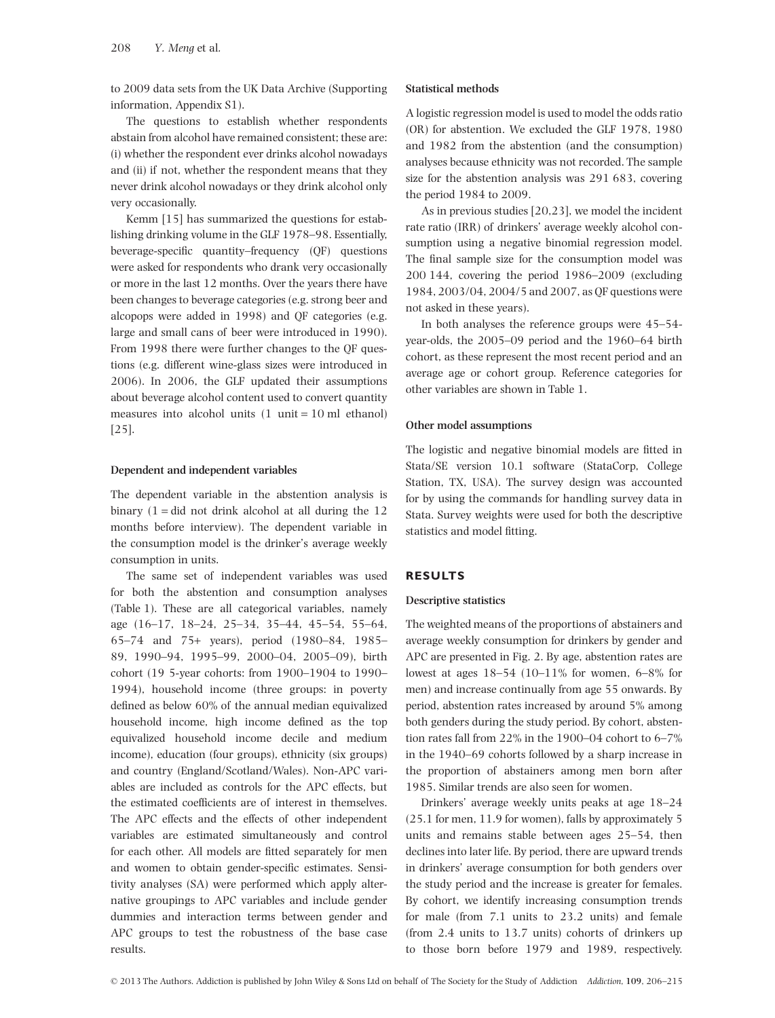to 2009 data sets from the UK Data Archive (Supporting information, Appendix S1).

The questions to establish whether respondents abstain from alcohol have remained consistent; these are: (i) whether the respondent ever drinks alcohol nowadays and (ii) if not, whether the respondent means that they never drink alcohol nowadays or they drink alcohol only very occasionally.

Kemm [15] has summarized the questions for establishing drinking volume in the GLF 1978–98. Essentially, beverage-specific quantity–frequency (QF) questions were asked for respondents who drank very occasionally or more in the last 12 months. Over the years there have been changes to beverage categories (e.g. strong beer and alcopops were added in 1998) and QF categories (e.g. large and small cans of beer were introduced in 1990). From 1998 there were further changes to the QF questions (e.g. different wine-glass sizes were introduced in 2006). In 2006, the GLF updated their assumptions about beverage alcohol content used to convert quantity measures into alcohol units  $(1 \text{ unit} = 10 \text{ ml} \text{ ethanol})$ [25].

#### **Dependent and independent variables**

The dependent variable in the abstention analysis is binary  $(1 - did not drink alcohol at all during the 12)$ months before interview). The dependent variable in the consumption model is the drinker's average weekly consumption in units.

The same set of independent variables was used for both the abstention and consumption analyses (Table 1). These are all categorical variables, namely age (16–17, 18–24, 25–34, 35–44, 45–54, 55–64, 65–74 and 75+ years), period (1980–84, 1985– 89, 1990–94, 1995–99, 2000–04, 2005–09), birth cohort (19 5-year cohorts: from 1900–1904 to 1990– 1994), household income (three groups: in poverty defined as below 60% of the annual median equivalized household income, high income defined as the top equivalized household income decile and medium income), education (four groups), ethnicity (six groups) and country (England/Scotland/Wales). Non-APC variables are included as controls for the APC effects, but the estimated coefficients are of interest in themselves. The APC effects and the effects of other independent variables are estimated simultaneously and control for each other. All models are fitted separately for men and women to obtain gender-specific estimates. Sensitivity analyses (SA) were performed which apply alternative groupings to APC variables and include gender dummies and interaction terms between gender and APC groups to test the robustness of the base case results.

#### **Statistical methods**

A logistic regression model is used to model the odds ratio (OR) for abstention. We excluded the GLF 1978, 1980 and 1982 from the abstention (and the consumption) analyses because ethnicity was not recorded. The sample size for the abstention analysis was 291 683, covering the period 1984 to 2009.

As in previous studies [20,23], we model the incident rate ratio (IRR) of drinkers' average weekly alcohol consumption using a negative binomial regression model. The final sample size for the consumption model was 200 144, covering the period 1986–2009 (excluding 1984, 2003/04, 2004/5 and 2007, as QF questions were not asked in these years).

In both analyses the reference groups were 45–54 year-olds, the 2005–09 period and the 1960–64 birth cohort, as these represent the most recent period and an average age or cohort group. Reference categories for other variables are shown in Table 1.

#### **Other model assumptions**

The logistic and negative binomial models are fitted in Stata/SE version 10.1 software (StataCorp, College Station, TX, USA). The survey design was accounted for by using the commands for handling survey data in Stata. Survey weights were used for both the descriptive statistics and model fitting.

#### **RESULTS**

#### **Descriptive statistics**

The weighted means of the proportions of abstainers and average weekly consumption for drinkers by gender and APC are presented in Fig. 2. By age, abstention rates are lowest at ages 18–54 (10–11% for women, 6–8% for men) and increase continually from age 55 onwards. By period, abstention rates increased by around 5% among both genders during the study period. By cohort, abstention rates fall from 22% in the 1900–04 cohort to 6–7% in the 1940–69 cohorts followed by a sharp increase in the proportion of abstainers among men born after 1985. Similar trends are also seen for women.

Drinkers' average weekly units peaks at age 18–24 (25.1 for men, 11.9 for women), falls by approximately 5 units and remains stable between ages 25–54, then declines into later life. By period, there are upward trends in drinkers' average consumption for both genders over the study period and the increase is greater for females. By cohort, we identify increasing consumption trends for male (from 7.1 units to 23.2 units) and female (from 2.4 units to 13.7 units) cohorts of drinkers up to those born before 1979 and 1989, respectively.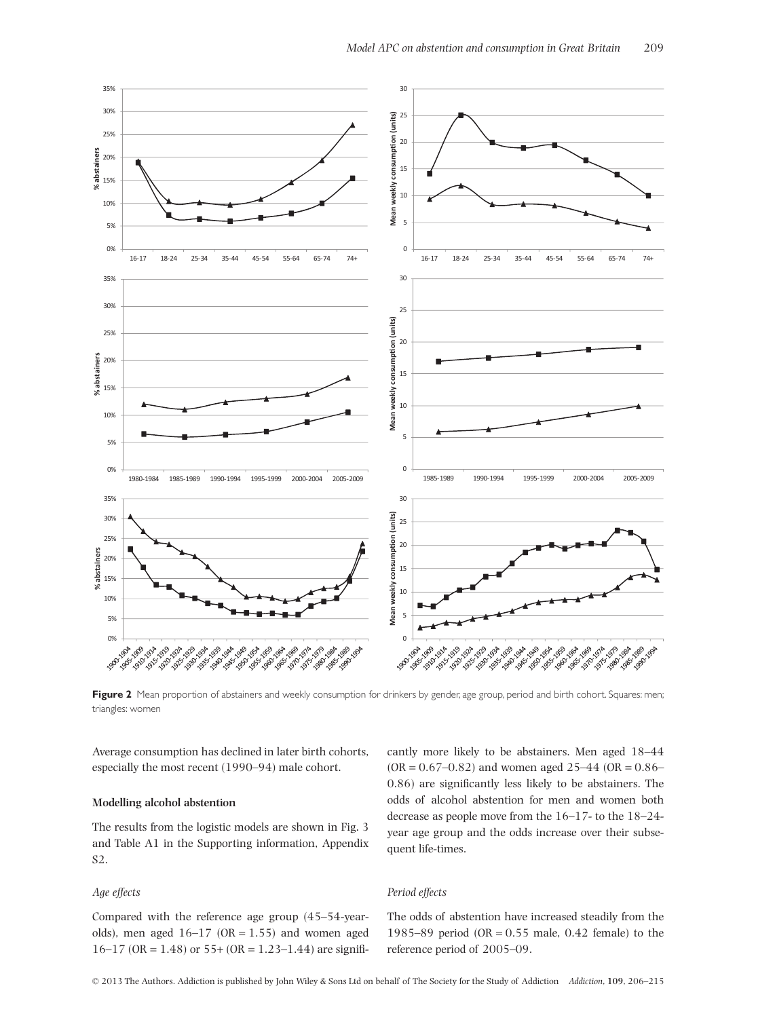

Figure 2 Mean proportion of abstainers and weekly consumption for drinkers by gender, age group, period and birth cohort. Squares: men; triangles: women

Average consumption has declined in later birth cohorts, especially the most recent (1990–94) male cohort.

#### **Modelling alcohol abstention**

The results from the logistic models are shown in Fig. 3 and Table A1 in the Supporting information, Appendix S2.

# *Age effects*

Compared with the reference age group (45–54-yearolds), men aged  $16-17$  (OR = 1.55) and women aged  $16-17$  (OR = 1.48) or 55+ (OR = 1.23–1.44) are signifi-

cantly more likely to be abstainers. Men aged 18–44  $(OR = 0.67 - 0.82)$  and women aged  $25 - 44$   $(OR = 0.86 - 0.86)$ 0.86) are significantly less likely to be abstainers. The odds of alcohol abstention for men and women both decrease as people move from the 16–17- to the 18–24 year age group and the odds increase over their subsequent life-times.

#### *Period effects*

The odds of abstention have increased steadily from the 1985–89 period (OR = 0.55 male, 0.42 female) to the reference period of 2005–09.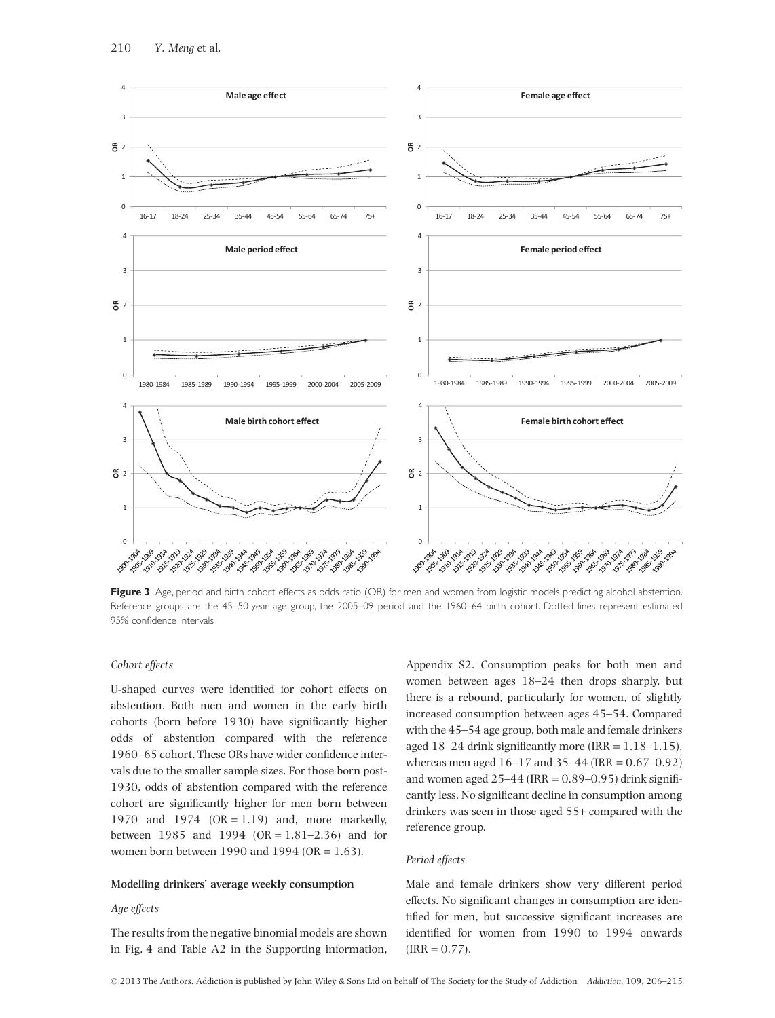

Figure 3 Age, period and birth cohort effects as odds ratio (OR) for men and women from logistic models predicting alcohol abstention. Reference groups are the 45-50-year age group, the 2005-09 period and the 1960-64 birth cohort. Dotted lines represent estimated 95% confidence intervals

# *Cohort effects*

U-shaped curves were identified for cohort effects on abstention. Both men and women in the early birth cohorts (born before 1930) have significantly higher odds of abstention compared with the reference 1960–65 cohort. These ORs have wider confidence intervals due to the smaller sample sizes. For those born post-1930, odds of abstention compared with the reference cohort are significantly higher for men born between 1970 and 1974 (OR = 1.19) and, more markedly, between 1985 and 1994 (OR = 1.81–2.36) and for women born between 1990 and 1994 (OR = 1.63).

#### **Modelling drinkers' average weekly consumption**

## *Age effects*

The results from the negative binomial models are shown in Fig. 4 and Table A2 in the Supporting information, Appendix S2. Consumption peaks for both men and women between ages 18–24 then drops sharply, but there is a rebound, particularly for women, of slightly increased consumption between ages 45–54. Compared with the 45–54 age group, both male and female drinkers aged  $18-24$  drink significantly more (IRR =  $1.18-1.15$ ), whereas men aged 16–17 and 35–44 (IRR = 0.67–0.92) and women aged  $25-44$  (IRR =  $0.89-0.95$ ) drink significantly less. No significant decline in consumption among drinkers was seen in those aged 55+ compared with the reference group.

## *Period effects*

Male and female drinkers show very different period effects. No significant changes in consumption are identified for men, but successive significant increases are identified for women from 1990 to 1994 onwards  $(IRR = 0.77).$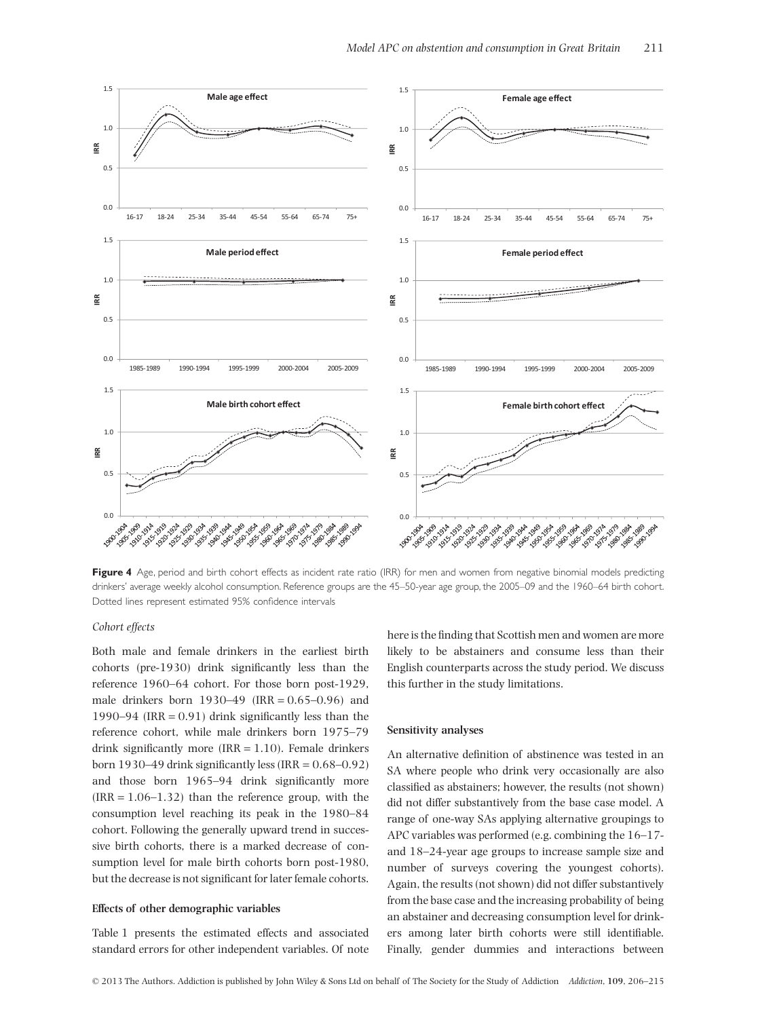

Figure 4 Age, period and birth cohort effects as incident rate ratio (IRR) for men and women from negative binomial models predicting drinkers' average weekly alcohol consumption. Reference groups are the 45–50-year age group, the 2005–09 and the 1960–64 birth cohort. Dotted lines represent estimated 95% confidence intervals

## *Cohort effects*

Both male and female drinkers in the earliest birth cohorts (pre-1930) drink significantly less than the reference 1960–64 cohort. For those born post-1929, male drinkers born  $1930-49$  (IRR = 0.65-0.96) and 1990–94 (IRR =  $0.91$ ) drink significantly less than the reference cohort, while male drinkers born 1975–79 drink significantly more  $(IRR = 1.10)$ . Female drinkers born 1930–49 drink significantly less (IRR =  $0.68-0.92$ ) and those born 1965–94 drink significantly more  $(IRR = 1.06-1.32)$  than the reference group, with the consumption level reaching its peak in the 1980–84 cohort. Following the generally upward trend in successive birth cohorts, there is a marked decrease of consumption level for male birth cohorts born post-1980, but the decrease is not significant for later female cohorts.

## **Effects of other demographic variables**

Table 1 presents the estimated effects and associated standard errors for other independent variables. Of note here is the finding that Scottish men and women are more likely to be abstainers and consume less than their English counterparts across the study period. We discuss this further in the study limitations.

# **Sensitivity analyses**

An alternative definition of abstinence was tested in an SA where people who drink very occasionally are also classified as abstainers; however, the results (not shown) did not differ substantively from the base case model. A range of one-way SAs applying alternative groupings to APC variables was performed (e.g. combining the 16–17 and 18–24-year age groups to increase sample size and number of surveys covering the youngest cohorts). Again, the results (not shown) did not differ substantively from the base case and the increasing probability of being an abstainer and decreasing consumption level for drinkers among later birth cohorts were still identifiable. Finally, gender dummies and interactions between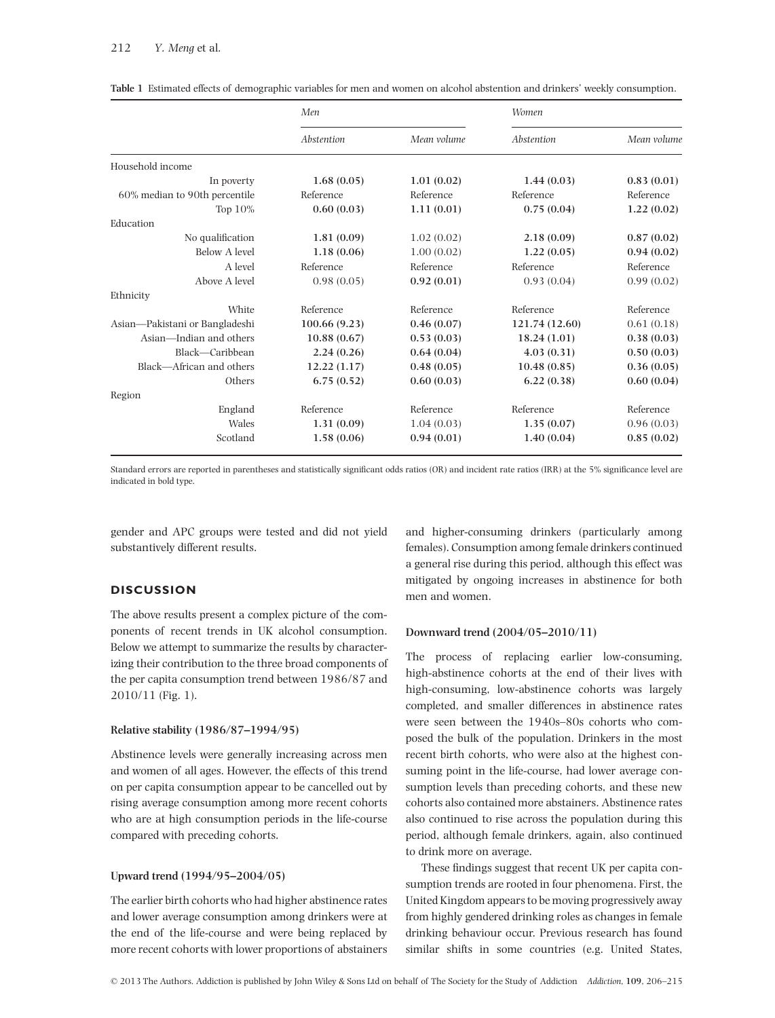# 212 *Y. Meng* et al*.*

|                                | Men          |             | Women          |             |
|--------------------------------|--------------|-------------|----------------|-------------|
|                                | Abstention   | Mean volume | Abstention     | Mean volume |
| Household income               |              |             |                |             |
| In poverty                     | 1.68(0.05)   | 1.01(0.02)  | 1.44(0.03)     | 0.83(0.01)  |
| 60% median to 90th percentile  | Reference    | Reference   | Reference      | Reference   |
| Top $10\%$                     | 0.60(0.03)   | 1.11(0.01)  | 0.75(0.04)     | 1.22(0.02)  |
| Education                      |              |             |                |             |
| No qualification               | 1.81(0.09)   | 1.02(0.02)  | 2.18(0.09)     | 0.87(0.02)  |
| Below A level                  | 1.18(0.06)   | 1.00(0.02)  | 1.22(0.05)     | 0.94(0.02)  |
| A level                        | Reference    | Reference   | Reference      | Reference   |
| Above A level                  | 0.98(0.05)   | 0.92(0.01)  | 0.93(0.04)     | 0.99(0.02)  |
| Ethnicity                      |              |             |                |             |
| White                          | Reference    | Reference   | Reference      | Reference   |
| Asian-Pakistani or Bangladeshi | 100.66(9.23) | 0.46(0.07)  | 121.74 (12.60) | 0.61(0.18)  |
| Asian—Indian and others        | 10.88(0.67)  | 0.53(0.03)  | 18.24(1.01)    | 0.38(0.03)  |
| Black-Caribbean                | 2.24(0.26)   | 0.64(0.04)  | 4.03(0.31)     | 0.50(0.03)  |
| Black-African and others       | 12.22(1.17)  | 0.48(0.05)  | 10.48(0.85)    | 0.36(0.05)  |
| Others                         | 6.75(0.52)   | 0.60(0.03)  | 6.22(0.38)     | 0.60(0.04)  |
| Region                         |              |             |                |             |
| England                        | Reference    | Reference   | Reference      | Reference   |
| Wales                          | 1.31(0.09)   | 1.04(0.03)  | 1.35(0.07)     | 0.96(0.03)  |
| Scotland                       | 1.58(0.06)   | 0.94(0.01)  | 1.40(0.04)     | 0.85(0.02)  |

**Table 1** Estimated effects of demographic variables for men and women on alcohol abstention and drinkers' weekly consumption.

Standard errors are reported in parentheses and statistically significant odds ratios (OR) and incident rate ratios (IRR) at the 5% significance level are indicated in bold type.

gender and APC groups were tested and did not yield substantively different results.

# **DISCUSSION**

The above results present a complex picture of the components of recent trends in UK alcohol consumption. Below we attempt to summarize the results by characterizing their contribution to the three broad components of the per capita consumption trend between 1986/87 and 2010/11 (Fig. 1).

## **Relative stability (1986/87–1994/95)**

Abstinence levels were generally increasing across men and women of all ages. However, the effects of this trend on per capita consumption appear to be cancelled out by rising average consumption among more recent cohorts who are at high consumption periods in the life-course compared with preceding cohorts.

# **Upward trend (1994/95–2004/05)**

The earlier birth cohorts who had higher abstinence rates and lower average consumption among drinkers were at the end of the life-course and were being replaced by more recent cohorts with lower proportions of abstainers and higher-consuming drinkers (particularly among females). Consumption among female drinkers continued a general rise during this period, although this effect was mitigated by ongoing increases in abstinence for both men and women.

#### **Downward trend (2004/05–2010/11)**

The process of replacing earlier low-consuming, high-abstinence cohorts at the end of their lives with high-consuming, low-abstinence cohorts was largely completed, and smaller differences in abstinence rates were seen between the 1940s–80s cohorts who composed the bulk of the population. Drinkers in the most recent birth cohorts, who were also at the highest consuming point in the life-course, had lower average consumption levels than preceding cohorts, and these new cohorts also contained more abstainers. Abstinence rates also continued to rise across the population during this period, although female drinkers, again, also continued to drink more on average.

These findings suggest that recent UK per capita consumption trends are rooted in four phenomena. First, the United Kingdom appears to be moving progressively away from highly gendered drinking roles as changes in female drinking behaviour occur. Previous research has found similar shifts in some countries (e.g. United States,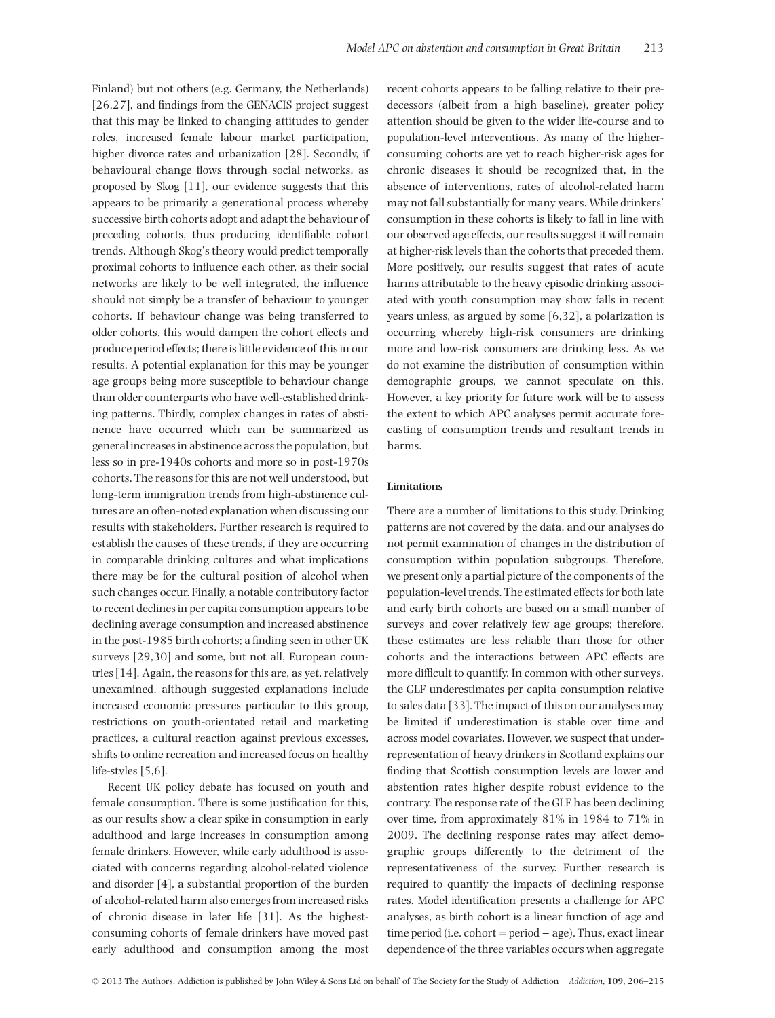Finland) but not others (e.g. Germany, the Netherlands) [26,27], and findings from the GENACIS project suggest that this may be linked to changing attitudes to gender roles, increased female labour market participation, higher divorce rates and urbanization [28]. Secondly, if behavioural change flows through social networks, as proposed by Skog [11], our evidence suggests that this appears to be primarily a generational process whereby successive birth cohorts adopt and adapt the behaviour of preceding cohorts, thus producing identifiable cohort trends. Although Skog's theory would predict temporally proximal cohorts to influence each other, as their social networks are likely to be well integrated, the influence should not simply be a transfer of behaviour to younger cohorts. If behaviour change was being transferred to older cohorts, this would dampen the cohort effects and produce period effects; there is little evidence of this in our results. A potential explanation for this may be younger age groups being more susceptible to behaviour change than older counterparts who have well-established drinking patterns. Thirdly, complex changes in rates of abstinence have occurred which can be summarized as general increases in abstinence across the population, but less so in pre-1940s cohorts and more so in post-1970s cohorts. The reasons for this are not well understood, but long-term immigration trends from high-abstinence cultures are an often-noted explanation when discussing our results with stakeholders. Further research is required to establish the causes of these trends, if they are occurring in comparable drinking cultures and what implications there may be for the cultural position of alcohol when such changes occur. Finally, a notable contributory factor to recent declines in per capita consumption appears to be declining average consumption and increased abstinence in the post-1985 birth cohorts; a finding seen in other UK surveys [29,30] and some, but not all, European countries [14]. Again, the reasons for this are, as yet, relatively unexamined, although suggested explanations include increased economic pressures particular to this group, restrictions on youth-orientated retail and marketing practices, a cultural reaction against previous excesses, shifts to online recreation and increased focus on healthy life-styles [5,6].

Recent UK policy debate has focused on youth and female consumption. There is some justification for this, as our results show a clear spike in consumption in early adulthood and large increases in consumption among female drinkers. However, while early adulthood is associated with concerns regarding alcohol-related violence and disorder [4], a substantial proportion of the burden of alcohol-related harm also emerges from increased risks of chronic disease in later life [31]. As the highestconsuming cohorts of female drinkers have moved past early adulthood and consumption among the most recent cohorts appears to be falling relative to their predecessors (albeit from a high baseline), greater policy attention should be given to the wider life-course and to population-level interventions. As many of the higherconsuming cohorts are yet to reach higher-risk ages for chronic diseases it should be recognized that, in the absence of interventions, rates of alcohol-related harm may not fall substantially for many years. While drinkers' consumption in these cohorts is likely to fall in line with our observed age effects, our results suggest it will remain at higher-risk levels than the cohorts that preceded them. More positively, our results suggest that rates of acute harms attributable to the heavy episodic drinking associated with youth consumption may show falls in recent years unless, as argued by some [6,32], a polarization is occurring whereby high-risk consumers are drinking more and low-risk consumers are drinking less. As we do not examine the distribution of consumption within demographic groups, we cannot speculate on this. However, a key priority for future work will be to assess the extent to which APC analyses permit accurate forecasting of consumption trends and resultant trends in harms.

## **Limitations**

There are a number of limitations to this study. Drinking patterns are not covered by the data, and our analyses do not permit examination of changes in the distribution of consumption within population subgroups. Therefore, we present only a partial picture of the components of the population-level trends. The estimated effects for both late and early birth cohorts are based on a small number of surveys and cover relatively few age groups; therefore, these estimates are less reliable than those for other cohorts and the interactions between APC effects are more difficult to quantify. In common with other surveys, the GLF underestimates per capita consumption relative to sales data [33]. The impact of this on our analyses may be limited if underestimation is stable over time and across model covariates. However, we suspect that underrepresentation of heavy drinkers in Scotland explains our finding that Scottish consumption levels are lower and abstention rates higher despite robust evidence to the contrary. The response rate of the GLF has been declining over time, from approximately 81% in 1984 to 71% in 2009. The declining response rates may affect demographic groups differently to the detriment of the representativeness of the survey. Further research is required to quantify the impacts of declining response rates. Model identification presents a challenge for APC analyses, as birth cohort is a linear function of age and time period (i.e. cohort = period − age). Thus, exact linear dependence of the three variables occurs when aggregate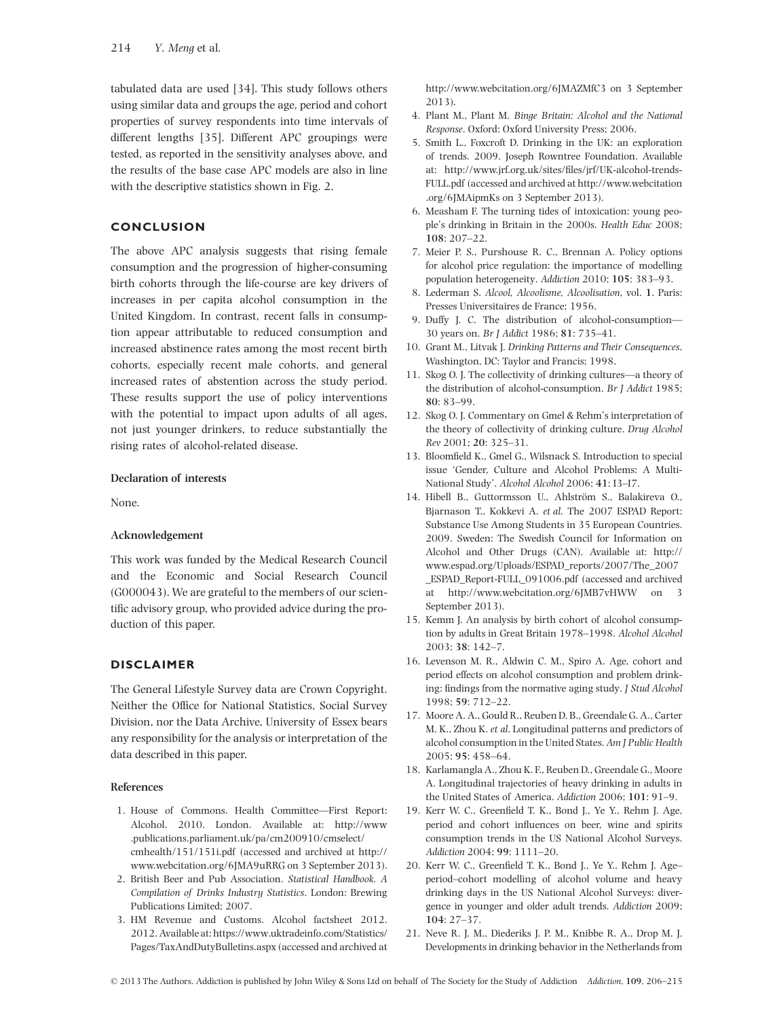tabulated data are used [34]. This study follows others using similar data and groups the age, period and cohort properties of survey respondents into time intervals of different lengths [35]. Different APC groupings were tested, as reported in the sensitivity analyses above, and the results of the base case APC models are also in line with the descriptive statistics shown in Fig. 2.

# **CONCLUSION**

The above APC analysis suggests that rising female consumption and the progression of higher-consuming birth cohorts through the life-course are key drivers of increases in per capita alcohol consumption in the United Kingdom. In contrast, recent falls in consumption appear attributable to reduced consumption and increased abstinence rates among the most recent birth cohorts, especially recent male cohorts, and general increased rates of abstention across the study period. These results support the use of policy interventions with the potential to impact upon adults of all ages, not just younger drinkers, to reduce substantially the rising rates of alcohol-related disease.

## **Declaration of interests**

None.

#### **Acknowledgement**

This work was funded by the Medical Research Council and the Economic and Social Research Council (G000043). We are grateful to the members of our scientific advisory group, who provided advice during the production of this paper.

# **DISCLAIMER**

The General Lifestyle Survey data are Crown Copyright. Neither the Office for National Statistics, Social Survey Division, nor the Data Archive, University of Essex bears any responsibility for the analysis or interpretation of the data described in this paper.

#### **References**

- 1. House of Commons. Health Committee—First Report: Alcohol. 2010. London. Available at: [http://www](http://www.publications.parliament.uk/pa/cm200910/cmselect/cmhealth/151/151i.pdf) [.publications.parliament.uk/pa/cm200910/cmselect/](http://www.publications.parliament.uk/pa/cm200910/cmselect/cmhealth/151/151i.pdf) [cmhealth/151/151i.pdf](http://www.publications.parliament.uk/pa/cm200910/cmselect/cmhealth/151/151i.pdf) (accessed and archived at http:// www.webcitation.org/6JMA9uRRG on 3 September 2013).
- 2. British Beer and Pub Association. *Statistical Handbook. A Compilation of Drinks Industry Statistics*. London: Brewing Publications Limited; 2007.
- 3. HM Revenue and Customs. Alcohol factsheet 2012. 2012. Available at: [https://www.uktradeinfo.com/Statistics/](https://www.uktradeinfo.com/Statistics/Pages/TaxAndDutyBulletins.aspx) [Pages/TaxAndDutyBulletins.aspx](https://www.uktradeinfo.com/Statistics/Pages/TaxAndDutyBulletins.aspx) (accessed and archived at

http://www.webcitation.org/6JMAZMfC3 on 3 September 2013).

- 4. Plant M., Plant M. *Binge Britain: Alcohol and the National Response*. Oxford: Oxford University Press; 2006.
- 5. Smith L., Foxcroft D. Drinking in the UK: an exploration of trends. 2009. Joseph Rowntree Foundation. Available at: [http://www.jrf.org.uk/sites/files/jrf/UK-alcohol-trends-](http://www.jrf.org.uk/sites/files/jrf/UK-alcohol-trends-FULL.pdf)[FULL.pdf](http://www.jrf.org.uk/sites/files/jrf/UK-alcohol-trends-FULL.pdf) (accessed and archived at [http://www.webcitation](http://www.webcitation.org/6JMAipmKs) [.org/6JMAipmKs](http://www.webcitation.org/6JMAipmKs) on 3 September 2013).
- 6. Measham F. The turning tides of intoxication: young people's drinking in Britain in the 2000s. *Health Educ* 2008; **108**: 207–22.
- 7. Meier P. S., Purshouse R. C., Brennan A. Policy options for alcohol price regulation: the importance of modelling population heterogeneity. *Addiction* 2010; **105**: 383–93.
- 8. Lederman S. *Alcool, Alcoolisme, Alcoolisation*, vol. **1**. Paris: Presses Universitaires de France; 1956.
- 9. Duffy J. C. The distribution of alcohol-consumption— 30 years on. *Br J Addict* 1986; **81**: 735–41.
- 10. Grant M., Litvak J. *Drinking Patterns and Their Consequences*. Washington, DC: Taylor and Francis; 1998.
- 11. Skog O. J. The collectivity of drinking cultures—a theory of the distribution of alcohol-consumption. *Br J Addict* 1985; **80**: 83–99.
- 12. Skog O. J. Commentary on Gmel & Rehm's interpretation of the theory of collectivity of drinking culture. *Drug Alcohol Rev* 2001; **20**: 325–31.
- 13. Bloomfield K., Gmel G., Wilsnack S. Introduction to special issue 'Gender, Culture and Alcohol Problems: A Multi-National Study'. *Alcohol Alcohol* 2006; **41**: I3–I7.
- 14. Hibell B., Guttormsson U., Ahlström S., Balakireva O., Bjarnason T., Kokkevi A. *et al*. The 2007 ESPAD Report: Substance Use Among Students in 35 European Countries. 2009. Sweden: The Swedish Council for Information on Alcohol and Other Drugs (CAN). Available at: [http://](http://www.espad.org/Uploads/ESPAD_reports/2007/The_2007_ESPAD_Report-FULL_091006.pdf) [www.espad.org/Uploads/ESPAD\\_reports/2007/The\\_2007](http://www.espad.org/Uploads/ESPAD_reports/2007/The_2007_ESPAD_Report-FULL_091006.pdf) [\\_ESPAD\\_Report-FULL\\_091006.pdf](http://www.espad.org/Uploads/ESPAD_reports/2007/The_2007_ESPAD_Report-FULL_091006.pdf) (accessed and archived at<http://www.webcitation.org/6JMB7vHWW> on 3 September 2013).
- 15. Kemm J. An analysis by birth cohort of alcohol consumption by adults in Great Britain 1978–1998. *Alcohol Alcohol* 2003; **38**: 142–7.
- 16. Levenson M. R., Aldwin C. M., Spiro A. Age, cohort and period effects on alcohol consumption and problem drinking: findings from the normative aging study. *J Stud Alcohol* 1998; **59**: 712–22.
- 17. Moore A. A., Gould R., Reuben D. B., Greendale G. A., Carter M. K., Zhou K. *et al*. Longitudinal patterns and predictors of alcohol consumption in the United States. *Am J Public Health* 2005; **95**: 458–64.
- 18. Karlamangla A., Zhou K. F., Reuben D., Greendale G., Moore A. Longitudinal trajectories of heavy drinking in adults in the United States of America. *Addiction* 2006; **101**: 91–9.
- 19. Kerr W. C., Greenfield T. K., Bond J., Ye Y., Rehm J. Age, period and cohort influences on beer, wine and spirits consumption trends in the US National Alcohol Surveys. *Addiction* 2004; **99**: 1111–20.
- 20. Kerr W. C., Greenfield T. K., Bond J., Ye Y., Rehm J. Age– period–cohort modelling of alcohol volume and heavy drinking days in the US National Alcohol Surveys: divergence in younger and older adult trends. *Addiction* 2009; **104**: 27–37.
- 21. Neve R. J. M., Diederiks J. P. M., Knibbe R. A., Drop M. J. Developments in drinking behavior in the Netherlands from